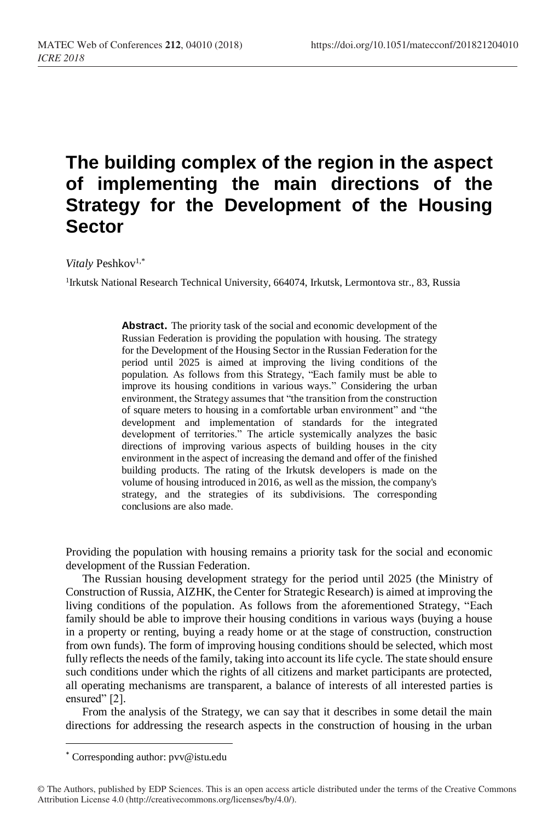## **The building complex of the region in the aspect of implementing the main directions of the Strategy for the Development of the Housing Sector**

Vitaly Peshkov<sup>1,\*</sup>

<sup>1</sup>Irkutsk National Research Technical University, 664074, Irkutsk, Lermontova str., 83, Russia

**Abstract**. The priority task of the social and economic development of the Russian Federation is providing the population with housing. The strategy for the Development of the Housing Sector in the Russian Federation for the period until 2025 is aimed at improving the living conditions of the population. As follows from this Strategy, "Each family must be able to improve its housing conditions in various ways." Considering the urban environment, the Strategy assumes that "the transition from the construction of square meters to housing in a comfortable urban environment" and "the development and implementation of standards for the integrated development of territories." The article systemically analyzes the basic directions of improving various aspects of building houses in the city environment in the aspect of increasing the demand and offer of the finished building products. The rating of the Irkutsk developers is made on the volume of housing introduced in 2016, as well as the mission, the company's strategy, and the strategies of its subdivisions. The corresponding conclusions are also made.

Providing the population with housing remains a priority task for the social and economic development of the Russian Federation.

The Russian housing development strategy for the period until 2025 (the Ministry of Construction of Russia, AIZHK, the Center for Strategic Research) is aimed at improving the living conditions of the population. As follows from the aforementioned Strategy, "Each family should be able to improve their housing conditions in various ways (buying a house in a property or renting, buying a ready home or at the stage of construction, construction from own funds). The form of improving housing conditions should be selected, which most fully reflects the needs of the family, taking into account its life cycle. The state should ensure such conditions under which the rights of all citizens and market participants are protected, all operating mechanisms are transparent, a balance of interests of all interested parties is ensured" [2].

From the analysis of the Strategy, we can say that it describes in some detail the main directions for addressing the research aspects in the construction of housing in the urban

l

<sup>\*</sup> Corresponding author: pvv@istu.edu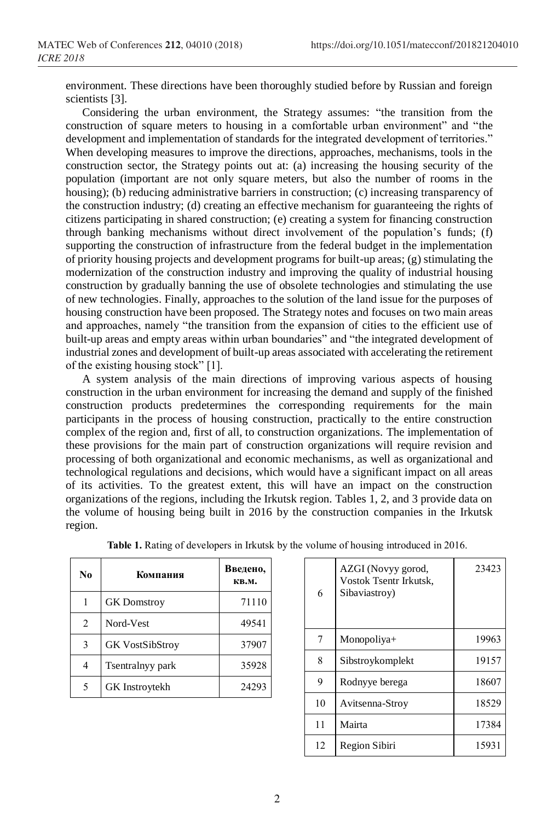environment. These directions have been thoroughly studied before by Russian and foreign scientists [3].

Considering the urban environment, the Strategy assumes: "the transition from the construction of square meters to housing in a comfortable urban environment" and "the development and implementation of standards for the integrated development of territories." When developing measures to improve the directions, approaches, mechanisms, tools in the construction sector, the Strategy points out at: (a) increasing the housing security of the population (important are not only square meters, but also the number of rooms in the housing); (b) reducing administrative barriers in construction; (c) increasing transparency of the construction industry; (d) creating an effective mechanism for guaranteeing the rights of citizens participating in shared construction; (e) creating a system for financing construction through banking mechanisms without direct involvement of the population's funds; (f) supporting the construction of infrastructure from the federal budget in the implementation of priority housing projects and development programs for built-up areas; (g) stimulating the modernization of the construction industry and improving the quality of industrial housing construction by gradually banning the use of obsolete technologies and stimulating the use of new technologies. Finally, approaches to the solution of the land issue for the purposes of housing construction have been proposed. The Strategy notes and focuses on two main areas and approaches, namely "the transition from the expansion of cities to the efficient use of built-up areas and empty areas within urban boundaries" and "the integrated development of industrial zones and development of built-up areas associated with accelerating the retirement of the existing housing stock" [1].

A system analysis of the main directions of improving various aspects of housing construction in the urban environment for increasing the demand and supply of the finished construction products predetermines the corresponding requirements for the main participants in the process of housing construction, practically to the entire construction complex of the region and, first of all, to construction organizations. The implementation of these provisions for the main part of construction organizations will require revision and processing of both organizational and economic mechanisms, as well as organizational and technological regulations and decisions, which would have a significant impact on all areas of its activities. To the greatest extent, this will have an impact on the construction organizations of the regions, including the Irkutsk region. Tables 1, 2, and 3 provide data on the volume of housing being built in 2016 by the construction companies in the Irkutsk region.

| No             | Компания               | Введено,<br>кв.м. |
|----------------|------------------------|-------------------|
|                | <b>GK</b> Domstroy     | 71110             |
| $\overline{2}$ | Nord-Vest              | 49541             |
| 3              | <b>GK VostSibStrov</b> | 37907             |
| 4              | Tsentralnyy park       | 35928             |
| 5              | <b>GK</b> Instroytekh  | 24293             |

| Table 1. Rating of developers in Irkutsk by the volume of housing introduced in 2016. |  |  |  |  |  |
|---------------------------------------------------------------------------------------|--|--|--|--|--|
|---------------------------------------------------------------------------------------|--|--|--|--|--|

| 6  | AZGI (Novyy gorod,<br>Vostok Tsentr Irkutsk.<br>Sibaviastroy) | 23423 |
|----|---------------------------------------------------------------|-------|
| 7  | Monopoliya+                                                   | 19963 |
| 8  | Sibstroykomplekt                                              | 19157 |
| 9  | Rodnyye berega                                                | 18607 |
| 10 | Avitsenna-Stroy                                               | 18529 |
| 11 | Mairta                                                        | 17384 |
| 12 | Region Sibiri                                                 | 15931 |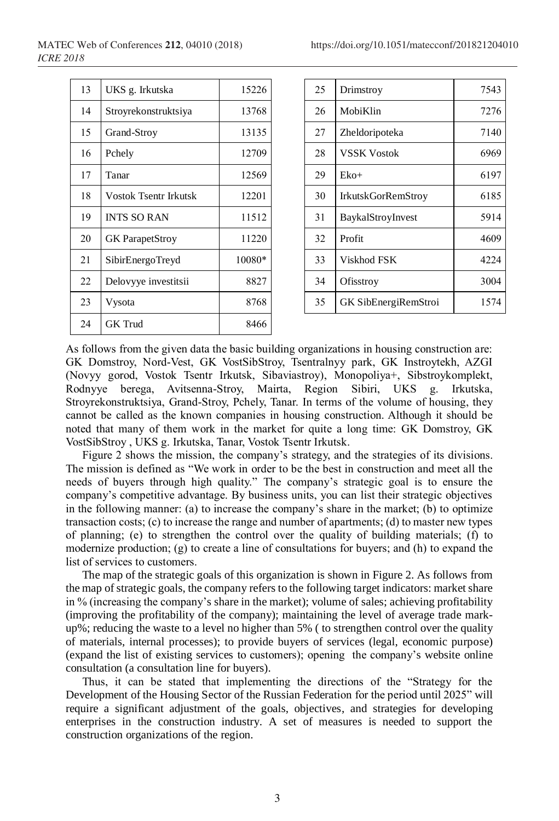| 13 | UKS g. Irkutska        | 15226  |
|----|------------------------|--------|
| 14 | Stroyrekonstruktsiya   | 13768  |
| 15 | Grand-Stroy            | 13135  |
| 16 | Pchely                 | 12709  |
| 17 | Tanar                  | 12569  |
| 18 | Vostok Tsentr Irkutsk  | 12201  |
| 19 | <b>INTS SO RAN</b>     | 11512  |
| 20 | <b>GK</b> ParapetStroy | 11220  |
| 21 | SibirEnergoTreyd       | 10080* |
| 22 | Delovyye investitsii   | 8827   |
| 23 | Vysota                 | 8768   |
| 24 | <b>GK</b> Trud         | 8466   |

| 25 | Drimstroy                 | 7543 |
|----|---------------------------|------|
| 26 | MobiKlin                  | 7276 |
| 27 | Zheldoripoteka            | 7140 |
| 28 | <b>VSSK Vostok</b>        | 6969 |
| 29 | $Ek0+$                    | 6197 |
| 30 | <b>IrkutskGorRemStroy</b> | 6185 |
| 31 | BaykalStroyInvest         | 5914 |
| 32 | Profit                    | 4609 |
| 33 | Viskhod FSK               | 4224 |
| 34 | Ofisstroy                 | 3004 |
| 35 | GK SibEnergiRemStroi      | 1574 |
|    |                           |      |

As follows from the given data the basic building organizations in housing construction are: GK Domstroy, Nord-Vest, GK VostSibStroy, Tsentralnyy park, GK Instroytekh, AZGI (Novyy gorod, Vostok Tsentr Irkutsk, Sibaviastroy), Monopoliya+, Sibstroykomplekt, Rodnyye berega, Avitsenna-Stroy, Mairta, Region Sibiri, UKS g. Irkutska, Stroyrekonstruktsiya, Grand-Stroy, Pchely, Tanar. In terms of the volume of housing, they cannot be called as the known companies in housing construction. Although it should be noted that many of them work in the market for quite a long time: GK Domstroy, GK VostSibStroy , UKS g. Irkutska, Tanar, Vostok Tsentr Irkutsk.

Figure 2 shows the mission, the company's strategy, and the strategies of its divisions. The mission is defined as "We work in order to be the best in construction and meet all the needs of buyers through high quality." The company's strategic goal is to ensure the company's competitive advantage. By business units, you can list their strategic objectives in the following manner: (a) to increase the company's share in the market; (b) to optimize transaction costs; (c) to increase the range and number of apartments; (d) to master new types of planning; (e) to strengthen the control over the quality of building materials; (f) to modernize production; (g) to create a line of consultations for buyers; and (h) to expand the list of services to customers.

The map of the strategic goals of this organization is shown in Figure 2. As follows from the map of strategic goals, the company refers to the following target indicators: market share in % (increasing the company's share in the market); volume of sales; achieving profitability (improving the profitability of the company); maintaining the level of average trade markup%; reducing the waste to a level no higher than 5% ( to strengthen control over the quality of materials, internal processes); to provide buyers of services (legal, economic purpose) (expand the list of existing services to customers); opening the company's website online consultation (a consultation line for buyers).

Thus, it can be stated that implementing the directions of the "Strategy for the Development of the Housing Sector of the Russian Federation for the period until 2025" will require a significant adjustment of the goals, objectives, and strategies for developing enterprises in the construction industry. A set of measures is needed to support the construction organizations of the region.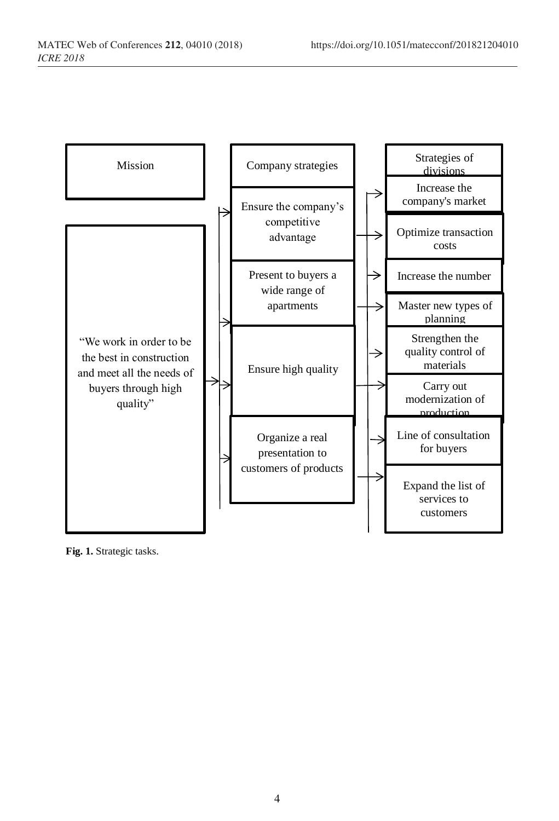

**Fig. 1.** Strategic tasks.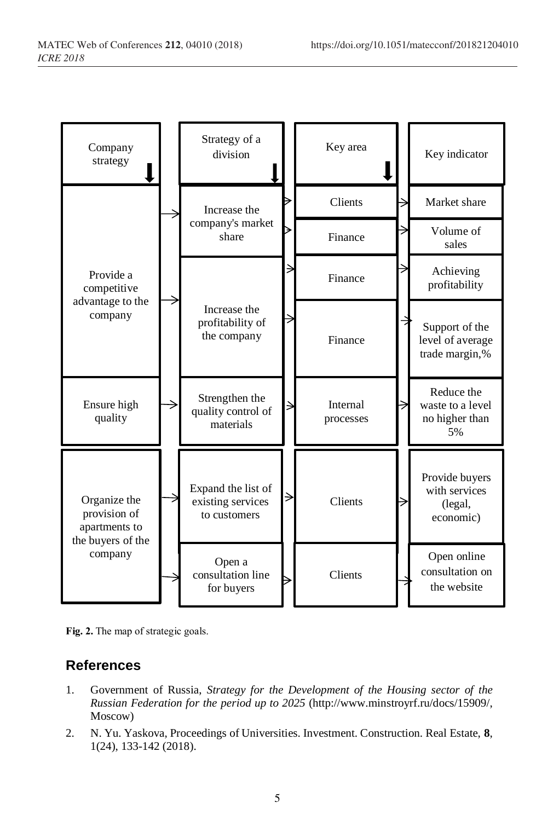

**Fig. 2.** The map of strategic goals.

## **References**

- 1. Government of Russia, *Strategy for the Development of the Housing sector of the Russian Federation for the period up to 2025* (http://www.minstroyrf.ru/docs/15909/, Moscow)
- 2. N. Yu. Yaskova, Proceedings of Universities. Investment. Construction. Real Estate, **8**, 1(24), 133-142 (2018).